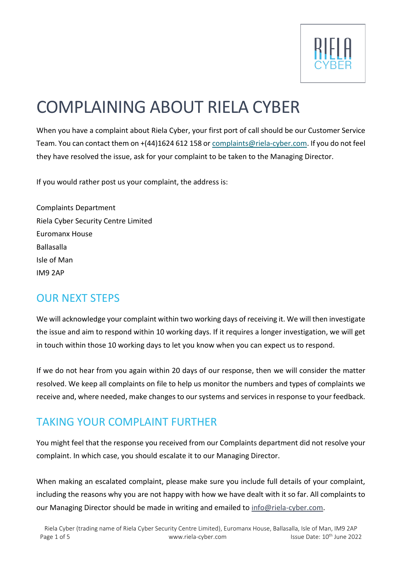

# COMPLAINING ABOUT RIELA CYBER

When you have a complaint about Riela Cyber, your first port of call should be our Customer Service Team. You can contact them on +(44)1624 612 158 or complaints@riela-cyber.com. If you do not feel they have resolved the issue, ask for your complaint to be taken to the Managing Director.

If you would rather post us your complaint, the address is:

Complaints Department Riela Cyber Security Centre Limited Euromanx House Ballasalla Isle of Man IM9 2AP

### OUR NEXT STEPS

We will acknowledge your complaint within two working days of receiving it. We will then investigate the issue and aim to respond within 10 working days. If it requires a longer investigation, we will get in touch within those 10 working days to let you know when you can expect us to respond.

If we do not hear from you again within 20 days of our response, then we will consider the matter resolved. We keep all complaints on file to help us monitor the numbers and types of complaints we receive and, where needed, make changes to our systems and services in response to your feedback.

## TAKING YOUR COMPLAINT FURTHER

You might feel that the response you received from our Complaints department did not resolve your complaint. In which case, you should escalate it to our Managing Director.

When making an escalated complaint, please make sure you include full details of your complaint, including the reasons why you are not happy with how we have dealt with it so far. All complaints to our Managing Director should be made in writing and emailed to [info@riela-cyber.com.](mailto:info@riela-cyber.com)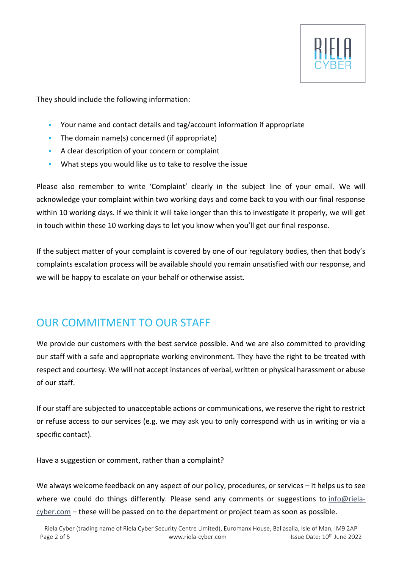

They should include the following information:

- Your name and contact details and tag/account information if appropriate
- **•** The domain name(s) concerned (if appropriate)
- A clear description of your concern or complaint
- What steps you would like us to take to resolve the issue

Please also remember to write 'Complaint' clearly in the subject line of your email. We will acknowledge your complaint within two working days and come back to you with our final response within 10 working days. If we think it will take longer than this to investigate it properly, we will get in touch within these 10 working days to let you know when you'll get our final response.

If the subject matter of your complaint is covered by one of our regulatory bodies, then that body's complaints escalation process will be available should you remain unsatisfied with our response, and we will be happy to escalate on your behalf or otherwise assist.

### OUR COMMITMENT TO OUR STAFF

We provide our customers with the best service possible. And we are also committed to providing our staff with a safe and appropriate working environment. They have the right to be treated with respect and courtesy. We will not accept instances of verbal, written or physical harassment or abuse of our staff.

If our staff are subjected to unacceptable actions or communications, we reserve the right to restrict or refuse access to our services (e.g. we may ask you to only correspond with us in writing or via a specific contact).

Have a suggestion or comment, rather than a complaint?

We always welcome feedback on any aspect of our policy, procedures, or services – it helps us to see where we could do things differently. Please send any comments or suggestions to [info@riela](mailto:info@riela-cyber.com) $cyber.com$  – these will be passed on to the department or project team as soon as possible.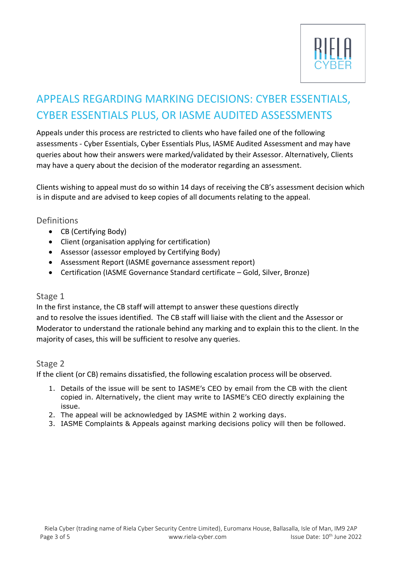

# APPEALS REGARDING MARKING DECISIONS: CYBER ESSENTIALS, CYBER ESSENTIALS PLUS, OR IASME AUDITED ASSESSMENTS

Appeals under this process are restricted to clients who have failed one of the following assessments - Cyber Essentials, Cyber Essentials Plus, IASME Audited Assessment and may have queries about how their answers were marked/validated by their Assessor. Alternatively, Clients may have a query about the decision of the moderator regarding an assessment.

Clients wishing to appeal must do so within 14 days of receiving the CB's assessment decision which is in dispute and are advised to keep copies of all documents relating to the appeal.

#### Definitions

- CB (Certifying Body)
- Client (organisation applying for certification)
- Assessor (assessor employed by Certifying Body)
- Assessment Report (IASME governance assessment report)
- Certification (IASME Governance Standard certificate Gold, Silver, Bronze)

#### Stage 1

In the first instance, the CB staff will attempt to answer these questions directly and to resolve the issues identified. The CB staff will liaise with the client and the Assessor or Moderator to understand the rationale behind any marking and to explain this to the client. In the majority of cases, this will be sufficient to resolve any queries.

#### Stage 2

If the client (or CB) remains dissatisfied, the following escalation process will be observed.

- 1. Details of the issue will be sent to IASME's CEO by email from the CB with the client copied in. Alternatively, the client may write to IASME's CEO directly explaining the issue.
- 2. The appeal will be acknowledged by IASME within 2 working days.
- 3. IASME Complaints & Appeals against marking decisions policy will then be followed.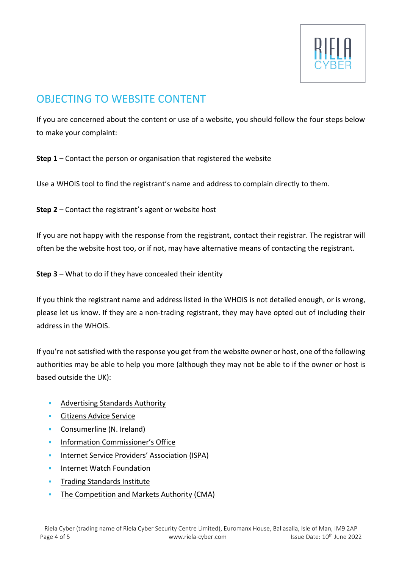

### OBJECTING TO WEBSITE CONTENT

If you are concerned about the content or use of a website, you should follow the four steps below to make your complaint:

**Step 1** – Contact the person or organisation that registered the website

Use a [WHOIS](http://www.nominet.uk/whois/) tool to find the registrant's name and address to complain directly to them.

**Step 2** – Contact the registrant's agent or website host

If you are not happy with the response from the registrant, contact their registrar. The registrar will often be the website host too, or if not, may have alternative means of contacting the registrant.

**Step 3** – What to do if they have concealed their identity

If you think the registrant name and address listed in the WHOIS is not detailed enough, or is wrong, please let us know. If they are a non-trading registrant, they may have opted out of including their address in the WHOIS.

If you're not satisfied with the response you get from the website owner or host, one of the following authorities may be able to help you more (although they may not be able to if the owner or host is based outside the UK):

- [Advertising Standards Authority](http://www.asa.org.uk/)
- **[Citizens Advice Service](http://www.adviceguide.org.uk/)**
- [Consumerline \(N. Ireland\)](http://www.consumerline.org/)
- **·** [Information Commissioner's Office](http://www.ico.org.uk/)
- [Internet Service Providers' Association \(ISPA\)](http://www.ispa.org.uk/)
- [Internet Watch Foundation](http://www.iwf.org.uk/)
- **·** [Trading Standards Institute](http://www.tradingstandards.uk/advice/index.cfm)
- [The Competition and Markets Authority \(CMA\)](http://www.gov.uk/government/organisations/competition-and-markets-authority)